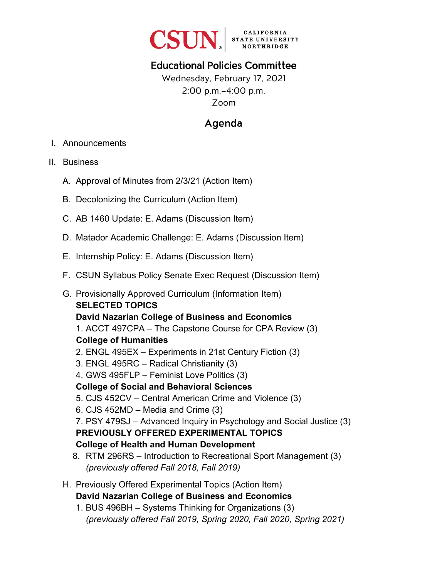

# Educational Policies Committee

Wednesday, February 17, 2021 2:00 p.m.–4:00 p.m. Zoom

# Agenda

- I. Announcements
- II. Business
	- A. Approval of Minutes from 2/3/21 (Action Item)
	- B. Decolonizing the Curriculum (Action Item)
	- C. AB 1460 Update: E. Adams (Discussion Item)
	- D. Matador Academic Challenge: E. Adams (Discussion Item)
	- E. Internship Policy: E. Adams (Discussion Item)
	- F. CSUN Syllabus Policy Senate Exec Request (Discussion Item)
	- G. Provisionally Approved Curriculum (Information Item)

#### **SELECTED TOPICS**

**David Nazarian College of Business and Economics** 

#### 1. ACCT 497CPA – The Capstone Course for CPA Review (3) **College of Humanities**

- 2. ENGL 495EX Experiments in 21st Century Fiction (3)
- 3. ENGL 495RC Radical Christianity (3)
- 4. GWS 495FLP Feminist Love Politics (3)

### **College of Social and Behavioral Sciences**

- 5. CJS 452CV Central American Crime and Violence (3)
- 6. CJS 452MD Media and Crime (3)

7. PSY 479SJ – Advanced Inquiry in Psychology and Social Justice (3) **PREVIOUSLY OFFERED EXPERIMENTAL TOPICS**

### **College of Health and Human Development**

- 8. RTM 296RS Introduction to Recreational Sport Management (3) *(previously offered Fall 2018, Fall 2019)*
- H. Previously Offered Experimental Topics (Action Item) **David Nazarian College of Business and Economics** 
	- 1. BUS 496BH Systems Thinking for Organizations (3) *(previously offered Fall 2019, Spring 2020, Fall 2020, Spring 2021)*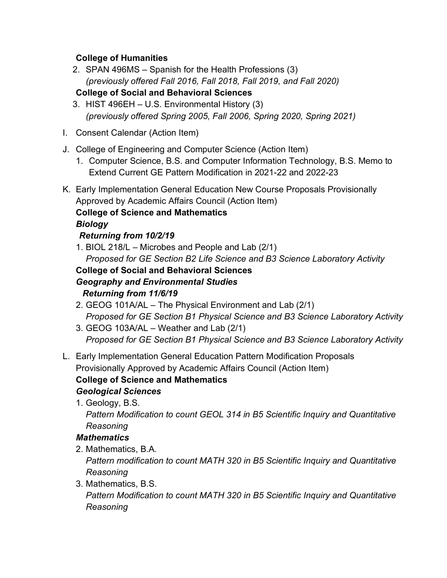#### **College of Humanities**

2. SPAN 496MS – Spanish for the Health Professions (3) *(previously offered Fall 2016, Fall 2018, Fall 2019, and Fall 2020)*

### **College of Social and Behavioral Sciences**

- 3. HIST 496EH U.S. Environmental History (3) *(previously offered Spring 2005, Fall 2006, Spring 2020, Spring 2021)*
- I. Consent Calendar (Action Item)
- J. College of Engineering and Computer Science (Action Item)
	- 1. Computer Science, B.S. and Computer Information Technology, B.S. Memo to Extend Current GE Pattern Modification in 2021-22 and 2022-23
- K. Early Implementation General Education New Course Proposals Provisionally Approved by Academic Affairs Council (Action Item)

# **College of Science and Mathematics**

### *Biology*

## *Returning from 10/2/19*

1. BIOL 218/L – Microbes and People and Lab (2/1) *Proposed for GE Section B2 Life Science and B3 Science Laboratory Activity*

#### **College of Social and Behavioral Sciences** *Geography and Environmental Studies*

# *Returning from 11/6/19*

- 2. GEOG 101A/AL The Physical Environment and Lab (2/1) *Proposed for GE Section B1 Physical Science and B3 Science Laboratory Activity*
- 3. GEOG 103A/AL Weather and Lab (2/1) *Proposed for GE Section B1 Physical Science and B3 Science Laboratory Activity*
- L. Early Implementation General Education Pattern Modification Proposals Provisionally Approved by Academic Affairs Council (Action Item) **College of Science and Mathematics** *Geological Sciences*
	- 1. Geology, B.S.

*Pattern Modification to count GEOL 314 in B5 Scientific Inquiry and Quantitative Reasoning*

# *Mathematics*

2. Mathematics, B.A.

*Pattern modification to count MATH 320 in B5 Scientific Inquiry and Quantitative Reasoning*

3. Mathematics, B.S.

*Pattern Modification to count MATH 320 in B5 Scientific Inquiry and Quantitative Reasoning*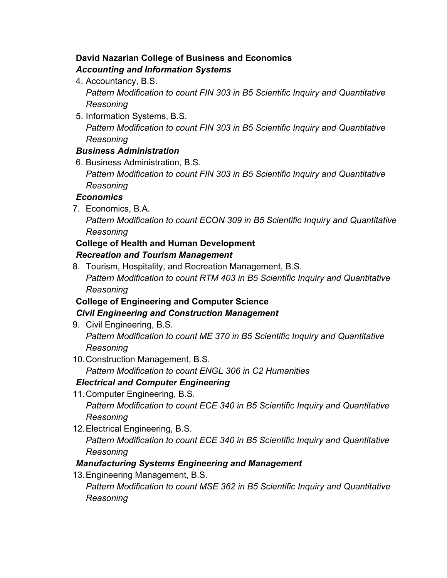### **David Nazarian College of Business and Economics**  *Accounting and Information Systems*

- 4. Accountancy, B.S. *Pattern Modification to count FIN 303 in B5 Scientific Inquiry and Quantitative Reasoning*
- 5. Information Systems, B.S.

*Pattern Modification to count FIN 303 in B5 Scientific Inquiry and Quantitative Reasoning*

# *Business Administration*

6. Business Administration, B.S. *Pattern Modification to count FIN 303 in B5 Scientific Inquiry and Quantitative Reasoning*

### *Economics*

7. Economics, B.A.

*Pattern Modification to count ECON 309 in B5 Scientific Inquiry and Quantitative Reasoning*

#### **College of Health and Human Development** *Recreation and Tourism Management*

8. Tourism, Hospitality, and Recreation Management, B.S. *Pattern Modification to count RTM 403 in B5 Scientific Inquiry and Quantitative Reasoning*

#### **College of Engineering and Computer Science** *Civil Engineering and Construction Management*

9. Civil Engineering, B.S.

*Pattern Modification to count ME 370 in B5 Scientific Inquiry and Quantitative Reasoning*

10. Construction Management, B.S. *Pattern Modification to count ENGL 306 in C2 Humanities*

# *Electrical and Computer Engineering*

- 11.Computer Engineering, B.S. *Pattern Modification to count ECE 340 in B5 Scientific Inquiry and Quantitative Reasoning*
- 12. Electrical Engineering, B.S.

*Pattern Modification to count ECE 340 in B5 Scientific Inquiry and Quantitative Reasoning*

# *Manufacturing Systems Engineering and Management*

13.Engineering Management, B.S.

*Pattern Modification to count MSE 362 in B5 Scientific Inquiry and Quantitative Reasoning*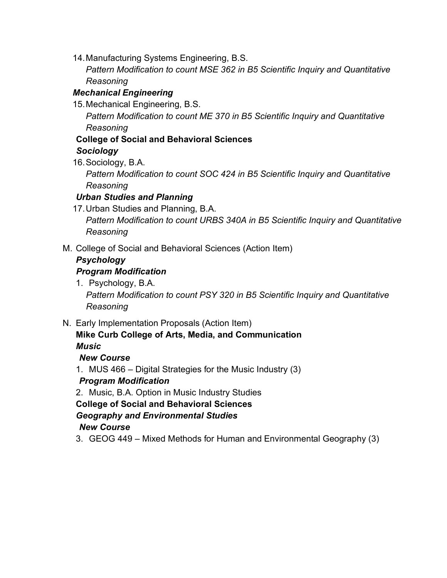14. Manufacturing Systems Engineering, B.S.

*Pattern Modification to count MSE 362 in B5 Scientific Inquiry and Quantitative Reasoning*

## *Mechanical Engineering*

15. Mechanical Engineering, B.S.

*Pattern Modification to count ME 370 in B5 Scientific Inquiry and Quantitative Reasoning*

# **College of Social and Behavioral Sciences**

#### *Sociology*

16. Sociology, B.A.

*Pattern Modification to count SOC 424 in B5 Scientific Inquiry and Quantitative Reasoning* 

#### *Urban Studies and Planning*

17. Urban Studies and Planning, B.A.

*Pattern Modification to count URBS 340A in B5 Scientific Inquiry and Quantitative Reasoning*

#### M. College of Social and Behavioral Sciences (Action Item)

#### *Psychology Program Modification*

- 1. Psychology, B.A. *Pattern Modification to count PSY 320 in B5 Scientific Inquiry and Quantitative Reasoning*
- N. Early Implementation Proposals (Action Item) **Mike Curb College of Arts, Media, and Communication** *Music*

### *New Course*

1. MUS 466 – Digital Strategies for the Music Industry (3)

### *Program Modification*

2. Music, B.A. Option in Music Industry Studies **College of Social and Behavioral Sciences** *Geography and Environmental Studies*

#### *New Course*

3. GEOG 449 – Mixed Methods for Human and Environmental Geography (3)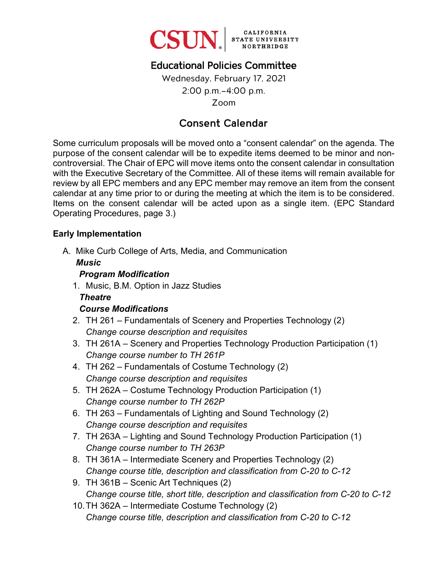

# Educational Policies Committee

Wednesday, February 17, 2021 2:00 p.m.–4:00 p.m. Zoom

# Consent Calendar

Some curriculum proposals will be moved onto a "consent calendar" on the agenda. The purpose of the consent calendar will be to expedite items deemed to be minor and noncontroversial. The Chair of EPC will move items onto the consent calendar in consultation with the Executive Secretary of the Committee. All of these items will remain available for review by all EPC members and any EPC member may remove an item from the consent calendar at any time prior to or during the meeting at which the item is to be considered. Items on the consent calendar will be acted upon as a single item. (EPC Standard Operating Procedures, page 3.)

#### **Early Implementation**

- A. Mike Curb College of Arts, Media, and Communication
	- *Music*

#### *Program Modification*

1. Music, B.M. Option in Jazz Studies *Theatre*

#### *Course Modifications*

- 2. TH 261 Fundamentals of Scenery and Properties Technology (2) *Change course description and requisites*
- 3. TH 261A Scenery and Properties Technology Production Participation (1) *Change course number to TH 261P*
- 4. TH 262 Fundamentals of Costume Technology (2) *Change course description and requisites*
- 5. TH 262A Costume Technology Production Participation (1) *Change course number to TH 262P*
- 6. TH 263 Fundamentals of Lighting and Sound Technology (2) *Change course description and requisites*
- 7. TH 263A Lighting and Sound Technology Production Participation (1) *Change course number to TH 263P*
- 8. TH 361A Intermediate Scenery and Properties Technology (2) *Change course title, description and classification from C-20 to C-12*
- 9. TH 361B Scenic Art Techniques (2) *Change course title, short title, description and classification from C-20 to C-12*
- 10.TH 362A Intermediate Costume Technology (2) *Change course title, description and classification from C-20 to C-12*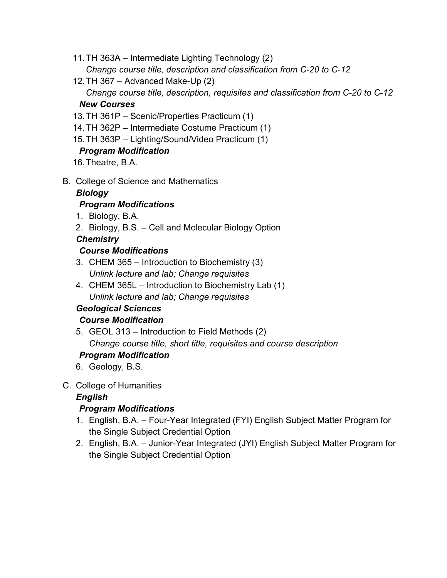- 11.TH 363A Intermediate Lighting Technology (2) *Change course title, description and classification from C-20 to C-12*
- 12.TH 367 Advanced Make-Up (2) *Change course title, description, requisites and classification from C-20 to C-12*

## *New Courses*

- 13.TH 361P Scenic/Properties Practicum (1)
- 14.TH 362P Intermediate Costume Practicum (1)
- 15.TH 363P Lighting/Sound/Video Practicum (1)

# *Program Modification*

- 16.Theatre, B.A.
- B. College of Science and Mathematics

## *Biology*

# *Program Modifications*

- 1. Biology, B.A.
- 2. Biology, B.S. Cell and Molecular Biology Option

# *Chemistry*

# *Course Modifications*

- 3. CHEM 365 Introduction to Biochemistry (3) *Unlink lecture and lab; Change requisites*
- 4. CHEM 365L Introduction to Biochemistry Lab (1) *Unlink lecture and lab; Change requisites*

# *Geological Sciences*

# *Course Modification*

5. GEOL 313 – Introduction to Field Methods (2) *Change course title, short title, requisites and course description*

# *Program Modification*

6. Geology, B.S.

# C. College of Humanities

# *English*

# *Program Modifications*

- 1. English, B.A. Four-Year Integrated (FYI) English Subject Matter Program for the Single Subject Credential Option
- 2. English, B.A. Junior-Year Integrated (JYI) English Subject Matter Program for the Single Subject Credential Option